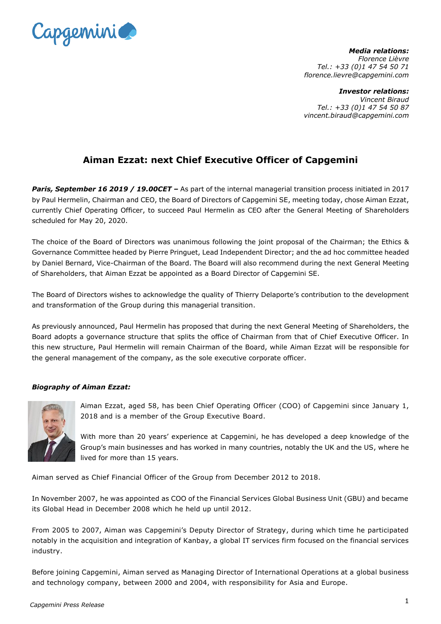

*Media relations: Florence Lièvre Tel.: +33 (0)1 47 54 50 71 florence.lievre@capgemini.com*

*Investor relations: Vincent Biraud Tel.: +33 (0)1 47 54 50 87 vincent.biraud@capgemini.com*

## **Aiman Ezzat: next Chief Executive Officer of Capgemini**

*Paris, September 16 2019 / 19.00CET –* As part of the internal managerial transition process initiated in 2017 by Paul Hermelin, Chairman and CEO, the Board of Directors of Capgemini SE, meeting today, chose Aiman Ezzat, currently Chief Operating Officer, to succeed Paul Hermelin as CEO after the General Meeting of Shareholders scheduled for May 20, 2020.

The choice of the Board of Directors was unanimous following the joint proposal of the Chairman; the Ethics & Governance Committee headed by Pierre Pringuet, Lead Independent Director; and the ad hoc committee headed by Daniel Bernard, Vice-Chairman of the Board. The Board will also recommend during the next General Meeting of Shareholders, that Aiman Ezzat be appointed as a Board Director of Capgemini SE.

The Board of Directors wishes to acknowledge the quality of Thierry Delaporte's contribution to the development and transformation of the Group during this managerial transition.

As previously announced, Paul Hermelin has proposed that during the next General Meeting of Shareholders, the Board adopts a governance structure that splits the office of Chairman from that of Chief Executive Officer. In this new structure, Paul Hermelin will remain Chairman of the Board, while Aiman Ezzat will be responsible for the general management of the company, as the sole executive corporate officer.

## *Biography of Aiman Ezzat:*



Aiman Ezzat, aged 58, has been Chief Operating Officer (COO) of Capgemini since January 1, 2018 and is a member of the Group Executive Board.

With more than 20 years' experience at Capgemini, he has developed a deep knowledge of the Group's main businesses and has worked in many countries, notably the UK and the US, where he lived for more than 15 years.

Aiman served as Chief Financial Officer of the Group from December 2012 to 2018.

In November 2007, he was appointed as COO of the Financial Services Global Business Unit (GBU) and became its Global Head in December 2008 which he held up until 2012.

From 2005 to 2007, Aiman was Capgemini's Deputy Director of Strategy, during which time he participated notably in the acquisition and integration of Kanbay, a global IT services firm focused on the financial services industry.

Before joining Capgemini, Aiman served as Managing Director of International Operations at a global business and technology company, between 2000 and 2004, with responsibility for Asia and Europe.